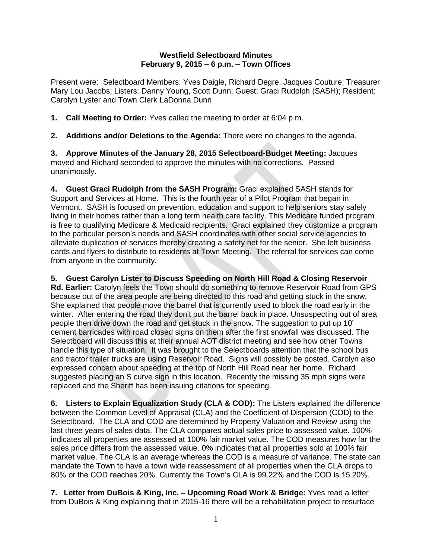## **Westfield Selectboard Minutes February 9, 2015 – 6 p.m. – Town Offices**

Present were: Selectboard Members: Yves Daigle, Richard Degre, Jacques Couture; Treasurer Mary Lou Jacobs; Listers: Danny Young, Scott Dunn; Guest: Graci Rudolph (SASH); Resident: Carolyn Lyster and Town Clerk LaDonna Dunn

**1. Call Meeting to Order:** Yves called the meeting to order at 6:04 p.m.

**2. Additions and/or Deletions to the Agenda:** There were no changes to the agenda.

**3. Approve Minutes of the January 28, 2015 Selectboard-Budget Meeting:** Jacques moved and Richard seconded to approve the minutes with no corrections. Passed unanimously.

**4. Guest Graci Rudolph from the SASH Program:** Graci explained SASH stands for Support and Services at Home. This is the fourth year of a Pilot Program that began in Vermont. SASH is focused on prevention, education and support to help seniors stay safely living in their homes rather than a long term health care facility. This Medicare funded program is free to qualifying Medicare & Medicaid recipients. Graci explained they customize a program to the particular person's needs and SASH coordinates with other social service agencies to alleviate duplication of services thereby creating a safety net for the senior. She left business cards and flyers to distribute to residents at Town Meeting. The referral for services can come from anyone in the community.

**5. Guest Carolyn Lister to Discuss Speeding on North Hill Road & Closing Reservoir Rd. Earlier:** Carolyn feels the Town should do something to remove Reservoir Road from GPS because out of the area people are being directed to this road and getting stuck in the snow. She explained that people move the barrel that is currently used to block the road early in the winter. After entering the road they don't put the barrel back in place. Unsuspecting out of area people then drive down the road and get stuck in the snow. The suggestion to put up 10' cement barricades with road closed signs on them after the first snowfall was discussed. The Selectboard will discuss this at their annual AOT district meeting and see how other Towns handle this type of situation. It was brought to the Selectboards attention that the school bus and tractor trailer trucks are using Reservoir Road. Signs will possibly be posted. Carolyn also expressed concern about speeding at the top of North Hill Road near her home. Richard suggested placing an S curve sign in this location. Recently the missing 35 mph signs were replaced and the Sheriff has been issuing citations for speeding.

**6. Listers to Explain Equalization Study (CLA & COD):** The Listers explained the difference between the Common Level of Appraisal (CLA) and the Coefficient of Dispersion (COD) to the Selectboard. The CLA and COD are determined by Property Valuation and Review using the last three years of sales data. The CLA compares actual sales price to assessed value. 100% indicates all properties are assessed at 100% fair market value. The COD measures how far the sales price differs from the assessed value. 0% indicates that all properties sold at 100% fair market value. The CLA is an average whereas the COD is a measure of variance. The state can mandate the Town to have a town wide reassessment of all properties when the CLA drops to 80% or the COD reaches 20%. Currently the Town's CLA is 99.22% and the COD is 15.20%.

**7. Letter from DuBois & King, Inc. – Upcoming Road Work & Bridge:** Yves read a letter from DuBois & King explaining that in 2015-16 there will be a rehabilitation project to resurface